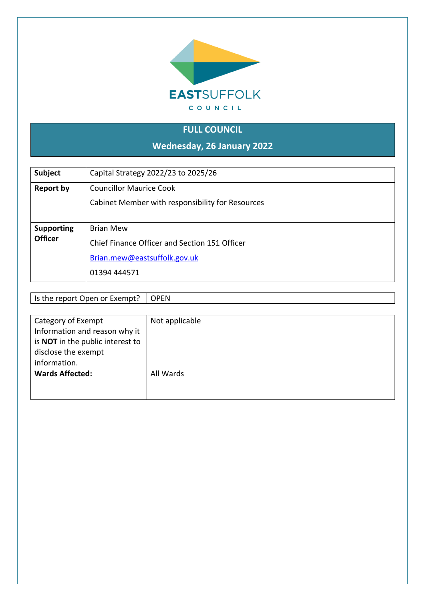

# **FULL COUNCIL**

**Wednesday, 26 January 2022**

| Subject                             | Capital Strategy 2022/23 to 2025/26                                                                               |
|-------------------------------------|-------------------------------------------------------------------------------------------------------------------|
| Report by                           | <b>Councillor Maurice Cook</b><br>Cabinet Member with responsibility for Resources                                |
| <b>Supporting</b><br><b>Officer</b> | <b>Brian Mew</b><br>Chief Finance Officer and Section 151 Officer<br>Brian.mew@eastsuffolk.gov.uk<br>01394 444571 |

Is the report Open or Exempt? | OPEN

| Category of Exempt               | Not applicable |
|----------------------------------|----------------|
| Information and reason why it    |                |
| is NOT in the public interest to |                |
| disclose the exempt              |                |
| information.                     |                |
| <b>Wards Affected:</b>           | All Wards      |
|                                  |                |
|                                  |                |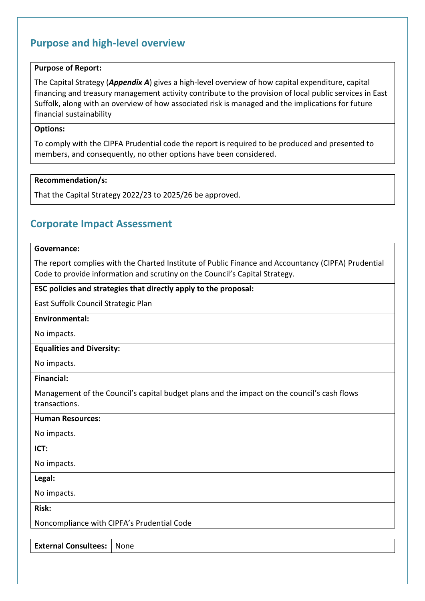## **Purpose and high-level overview**

#### **Purpose of Report:**

The Capital Strategy (*Appendix A*) gives a high-level overview of how capital expenditure, capital financing and treasury management activity contribute to the provision of local public services in East Suffolk, along with an overview of how associated risk is managed and the implications for future financial sustainability

#### **Options:**

To comply with the CIPFA Prudential code the report is required to be produced and presented to members, and consequently, no other options have been considered.

#### **Recommendation/s:**

That the Capital Strategy 2022/23 to 2025/26 be approved.

## **Corporate Impact Assessment**

#### **Governance:**

The report complies with the Charted Institute of Public Finance and Accountancy (CIPFA) Prudential Code to provide information and scrutiny on the Council's Capital Strategy.

#### **ESC policies and strategies that directly apply to the proposal:**

East Suffolk Council Strategic Plan

#### **Environmental:**

No impacts.

#### **Equalities and Diversity:**

No impacts.

**Financial:**

Management of the Council's capital budget plans and the impact on the council's cash flows transactions.

#### **Human Resources:**

No impacts.

#### **ICT:**

No impacts.

#### **Legal:**

No impacts.

**Risk:**

Noncompliance with CIPFA's Prudential Code

**External Consultees:** None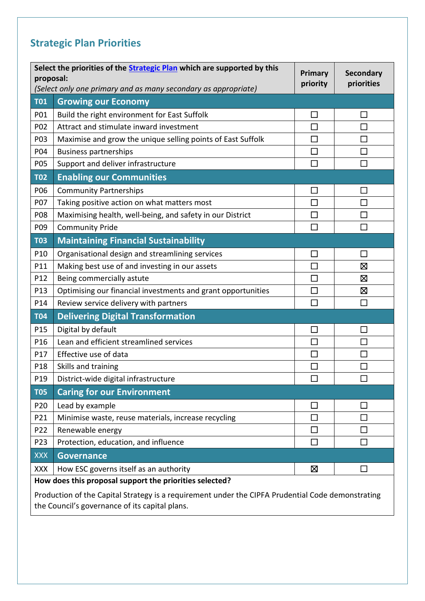# **Strategic Plan Priorities**

| proposal:                                                                                                                                           | Select the priorities of the <b>Strategic Plan</b> which are supported by this | Primary<br>priority | <b>Secondary</b><br>priorities |  |  |
|-----------------------------------------------------------------------------------------------------------------------------------------------------|--------------------------------------------------------------------------------|---------------------|--------------------------------|--|--|
|                                                                                                                                                     | (Select only one primary and as many secondary as appropriate)                 |                     |                                |  |  |
| <b>T01</b>                                                                                                                                          | <b>Growing our Economy</b>                                                     |                     |                                |  |  |
| P01                                                                                                                                                 | Build the right environment for East Suffolk                                   | $\Box$              | $\sim$                         |  |  |
| P02                                                                                                                                                 | Attract and stimulate inward investment                                        | $\Box$              |                                |  |  |
| P03                                                                                                                                                 | Maximise and grow the unique selling points of East Suffolk                    | $\Box$              | П                              |  |  |
| P04                                                                                                                                                 | <b>Business partnerships</b>                                                   | $\Box$              |                                |  |  |
| P05                                                                                                                                                 | Support and deliver infrastructure                                             | $\Box$              | П                              |  |  |
| <b>T02</b>                                                                                                                                          | <b>Enabling our Communities</b>                                                |                     |                                |  |  |
| P06                                                                                                                                                 | <b>Community Partnerships</b>                                                  | $\Box$              | $\mathbb{R}^n$                 |  |  |
| P07                                                                                                                                                 | Taking positive action on what matters most                                    |                     |                                |  |  |
| P08                                                                                                                                                 | Maximising health, well-being, and safety in our District                      | $\Box$              | П                              |  |  |
| P09                                                                                                                                                 | <b>Community Pride</b>                                                         | П                   | П                              |  |  |
| <b>T03</b>                                                                                                                                          | <b>Maintaining Financial Sustainability</b>                                    |                     |                                |  |  |
| P10                                                                                                                                                 | Organisational design and streamlining services                                | $\Box$              | П                              |  |  |
| P11                                                                                                                                                 | Making best use of and investing in our assets                                 | П                   | 区                              |  |  |
| P12                                                                                                                                                 | Being commercially astute                                                      | $\Box$              | ⊠                              |  |  |
| P13                                                                                                                                                 | Optimising our financial investments and grant opportunities                   | $\Box$              | Ø                              |  |  |
| P14                                                                                                                                                 | Review service delivery with partners                                          | П                   | П                              |  |  |
| <b>T04</b>                                                                                                                                          | <b>Delivering Digital Transformation</b>                                       |                     |                                |  |  |
| P15                                                                                                                                                 | Digital by default                                                             | $\Box$              | $\Box$                         |  |  |
| P16                                                                                                                                                 | Lean and efficient streamlined services                                        | $\Box$              | $\sim$                         |  |  |
| P17                                                                                                                                                 | Effective use of data                                                          | $\Box$              | $\Box$                         |  |  |
| P18                                                                                                                                                 | Skills and training                                                            |                     |                                |  |  |
| P19                                                                                                                                                 | District-wide digital infrastructure                                           |                     |                                |  |  |
| <b>T05</b>                                                                                                                                          | <b>Caring for our Environment</b>                                              |                     |                                |  |  |
| P <sub>20</sub>                                                                                                                                     | Lead by example                                                                | ×.                  |                                |  |  |
| P21                                                                                                                                                 | Minimise waste, reuse materials, increase recycling                            | $\mathsf{L}$        |                                |  |  |
| P22                                                                                                                                                 | Renewable energy                                                               | $\Box$              |                                |  |  |
| P <sub>23</sub>                                                                                                                                     | Protection, education, and influence                                           | П                   |                                |  |  |
| <b>XXX</b>                                                                                                                                          | <b>Governance</b>                                                              |                     |                                |  |  |
| <b>XXX</b>                                                                                                                                          | How ESC governs itself as an authority                                         | Ø                   |                                |  |  |
|                                                                                                                                                     | How does this proposal support the priorities selected?                        |                     |                                |  |  |
| Production of the Capital Strategy is a requirement under the CIPFA Prudential Code demonstrating<br>the Council's governance of its capital plans. |                                                                                |                     |                                |  |  |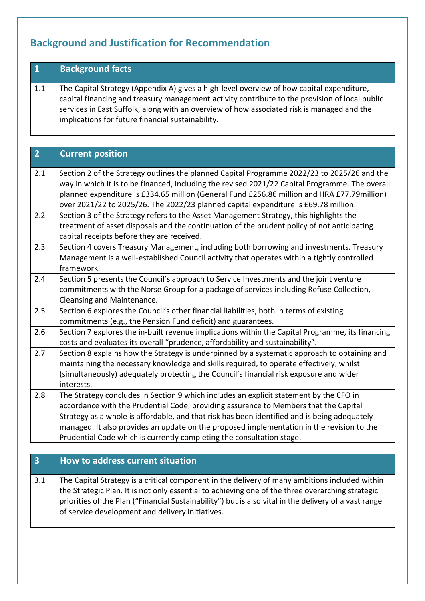# **Background and Justification for Recommendation**

| $\overline{\mathbf{1}}$ | <b>Background facts</b>                                                                                                                                                                                                                                                                                                                        |
|-------------------------|------------------------------------------------------------------------------------------------------------------------------------------------------------------------------------------------------------------------------------------------------------------------------------------------------------------------------------------------|
| 1.1                     | The Capital Strategy (Appendix A) gives a high-level overview of how capital expenditure,<br>capital financing and treasury management activity contribute to the provision of local public<br>services in East Suffolk, along with an overview of how associated risk is managed and the<br>implications for future financial sustainability. |

| $\overline{2}$ | <b>Current position</b>                                                                                                                                                                                                                                                                                                                                                                                                                              |
|----------------|------------------------------------------------------------------------------------------------------------------------------------------------------------------------------------------------------------------------------------------------------------------------------------------------------------------------------------------------------------------------------------------------------------------------------------------------------|
| 2.1            | Section 2 of the Strategy outlines the planned Capital Programme 2022/23 to 2025/26 and the<br>way in which it is to be financed, including the revised 2021/22 Capital Programme. The overall<br>planned expenditure is £334.65 million (General Fund £256.86 million and HRA £77.79 million)<br>over 2021/22 to 2025/26. The 2022/23 planned capital expenditure is £69.78 million.                                                                |
| 2.2            | Section 3 of the Strategy refers to the Asset Management Strategy, this highlights the<br>treatment of asset disposals and the continuation of the prudent policy of not anticipating<br>capital receipts before they are received.                                                                                                                                                                                                                  |
| 2.3            | Section 4 covers Treasury Management, including both borrowing and investments. Treasury<br>Management is a well-established Council activity that operates within a tightly controlled<br>framework.                                                                                                                                                                                                                                                |
| 2.4            | Section 5 presents the Council's approach to Service Investments and the joint venture<br>commitments with the Norse Group for a package of services including Refuse Collection,<br>Cleansing and Maintenance.                                                                                                                                                                                                                                      |
| 2.5            | Section 6 explores the Council's other financial liabilities, both in terms of existing<br>commitments (e.g., the Pension Fund deficit) and guarantees.                                                                                                                                                                                                                                                                                              |
| 2.6            | Section 7 explores the in-built revenue implications within the Capital Programme, its financing<br>costs and evaluates its overall "prudence, affordability and sustainability".                                                                                                                                                                                                                                                                    |
| 2.7            | Section 8 explains how the Strategy is underpinned by a systematic approach to obtaining and<br>maintaining the necessary knowledge and skills required, to operate effectively, whilst<br>(simultaneously) adequately protecting the Council's financial risk exposure and wider<br>interests.                                                                                                                                                      |
| 2.8            | The Strategy concludes in Section 9 which includes an explicit statement by the CFO in<br>accordance with the Prudential Code, providing assurance to Members that the Capital<br>Strategy as a whole is affordable, and that risk has been identified and is being adequately<br>managed. It also provides an update on the proposed implementation in the revision to the<br>Prudential Code which is currently completing the consultation stage. |

## **3 How to address current situation**

3.1 The Capital Strategy is a critical component in the delivery of many ambitions included within the Strategic Plan. It is not only essential to achieving one of the three overarching strategic priorities of the Plan ("Financial Sustainability") but is also vital in the delivery of a vast range of service development and delivery initiatives.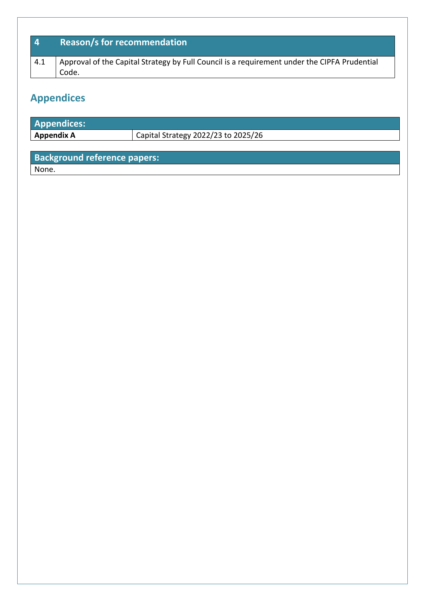| $\mathbf{A}$ | <b>Reason/s for recommendation</b>                                                                    |
|--------------|-------------------------------------------------------------------------------------------------------|
| 4.1          | Approval of the Capital Strategy by Full Council is a requirement under the CIPFA Prudential<br>Code. |

# **Appendices**

| <b>Appendices:</b> |                                     |
|--------------------|-------------------------------------|
| <b>Appendix A</b>  | Capital Strategy 2022/23 to 2025/26 |
|                    |                                     |

# **Background reference papers:**

None.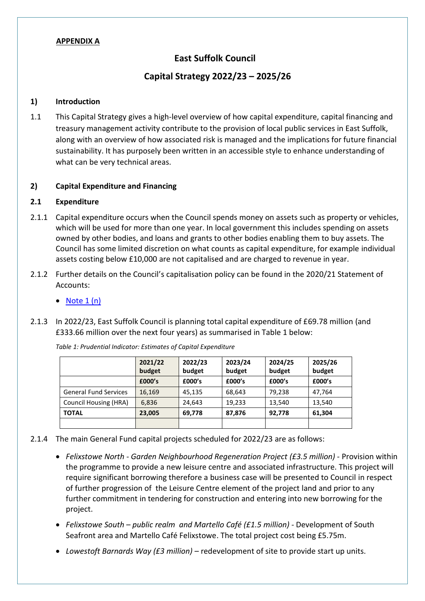#### **APPENDIX A**

### **East Suffolk Council**

#### **Capital Strategy 2022/23 – 2025/26**

#### **1) Introduction**

1.1 This Capital Strategy gives a high-level overview of how capital expenditure, capital financing and treasury management activity contribute to the provision of local public services in East Suffolk, along with an overview of how associated risk is managed and the implications for future financial sustainability. It has purposely been written in an accessible style to enhance understanding of what can be very technical areas.

#### **2) Capital Expenditure and Financing**

#### **2.1 Expenditure**

- 2.1.1 Capital expenditure occurs when the Council spends money on assets such as property or vehicles, which will be used for more than one year. In local government this includes spending on assets owned by other bodies, and loans and grants to other bodies enabling them to buy assets. The Council has some limited discretion on what counts as capital expenditure, for example individual assets costing below £10,000 are not capitalised and are charged to revenue in year.
- 2.1.2 Further details on the Council's capitalisation policy can be found in the 2020/21 Statement of Accounts:
	- Note  $1(n)$
- 2.1.3 In 2022/23, East Suffolk Council is planning total capital expenditure of £69.78 million (and £333.66 million over the next four years) as summarised in Table 1 below:

|                              | 2021/22<br>budget | 2022/23<br>budget | 2023/24<br>budget | 2024/25<br>budget | 2025/26<br>budget |
|------------------------------|-------------------|-------------------|-------------------|-------------------|-------------------|
|                              | £000's            | £000's            | £000's            | £000's            | £000's            |
| <b>General Fund Services</b> | 16,169            | 45,135            | 68,643            | 79,238            | 47.764            |
| Council Housing (HRA)        | 6,836             | 24.643            | 19,233            | 13.540            | 13,540            |
| <b>TOTAL</b>                 | 23,005            | 69,778            | 87,876            | 92,778            | 61,304            |
|                              |                   |                   |                   |                   |                   |

*Table 1: Prudential Indicator: Estimates of Capital Expenditure*

- 2.1.4 The main General Fund capital projects scheduled for 2022/23 are as follows:
	- *Felixstowe North - Garden Neighbourhood Regeneration Project (£3.5 million) -* Provision within the programme to provide a new leisure centre and associated infrastructure. This project will require significant borrowing therefore a business case will be presented to Council in respect of further progression of the Leisure Centre element of the project land and prior to any further commitment in tendering for construction and entering into new borrowing for the project.
	- *Felixstowe South – public realm and Martello Café (£1.5 million) -* Development of South Seafront area and Martello Café Felixstowe. The total project cost being £5.75m.
	- *Lowestoft Barnards Way (£3 million) –* redevelopment of site to provide start up units.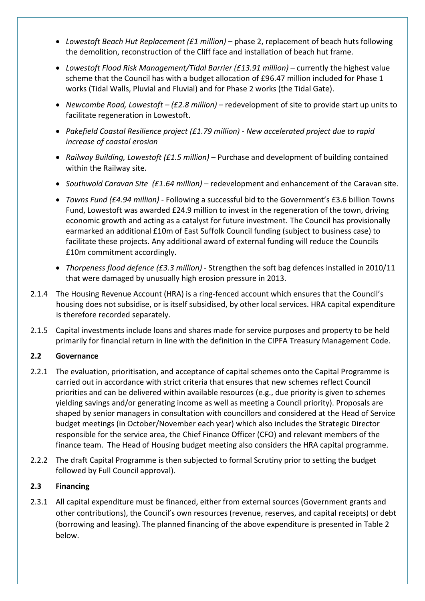- *Lowestoft Beach Hut Replacement (£1 million)* phase 2, replacement of beach huts following the demolition, reconstruction of the Cliff face and installation of beach hut frame.
- *Lowestoft Flood Risk Management/Tidal Barrier (£13.91 million)* currently the highest value scheme that the Council has with a budget allocation of £96.47 million included for Phase 1 works (Tidal Walls, Pluvial and Fluvial) and for Phase 2 works (the Tidal Gate).
- *Newcombe Road, Lowestoft – (£2.8 million)* redevelopment of site to provide start up units to facilitate regeneration in Lowestoft.
- *Pakefield Coastal Resilience project (£1.79 million) - New accelerated project due to rapid increase of coastal erosion*
- *Railway Building, Lowestoft (£1.5 million)* Purchase and development of building contained within the Railway site.
- *Southwold Caravan Site (£1.64 million)*  redevelopment and enhancement of the Caravan site.
- *Towns Fund (£4.94 million) -* Following a successful bid to the Government's £3.6 billion Towns Fund, Lowestoft was awarded £24.9 million to invest in the regeneration of the town, driving economic growth and acting as a catalyst for future investment. The Council has provisionally earmarked an additional £10m of East Suffolk Council funding (subject to business case) to facilitate these projects. Any additional award of external funding will reduce the Councils £10m commitment accordingly.
- *Thorpeness flood defence (£3.3 million)* Strengthen the soft bag defences installed in 2010/11 that were damaged by unusually high erosion pressure in 2013.
- 2.1.4 The Housing Revenue Account (HRA) is a ring-fenced account which ensures that the Council's housing does not subsidise, or is itself subsidised, by other local services. HRA capital expenditure is therefore recorded separately.
- 2.1.5 Capital investments include loans and shares made for service purposes and property to be held primarily for financial return in line with the definition in the CIPFA Treasury Management Code.

#### **2.2 Governance**

- 2.2.1 The evaluation, prioritisation, and acceptance of capital schemes onto the Capital Programme is carried out in accordance with strict criteria that ensures that new schemes reflect Council priorities and can be delivered within available resources (e.g., due priority is given to schemes yielding savings and/or generating income as well as meeting a Council priority). Proposals are shaped by senior managers in consultation with councillors and considered at the Head of Service budget meetings (in October/November each year) which also includes the Strategic Director responsible for the service area, the Chief Finance Officer (CFO) and relevant members of the finance team. The Head of Housing budget meeting also considers the HRA capital programme.
- 2.2.2 The draft Capital Programme is then subjected to formal Scrutiny prior to setting the budget followed by Full Council approval).

#### **2.3 Financing**

2.3.1 All capital expenditure must be financed, either from external sources (Government grants and other contributions), the Council's own resources (revenue, reserves, and capital receipts) or debt (borrowing and leasing). The planned financing of the above expenditure is presented in Table 2 below.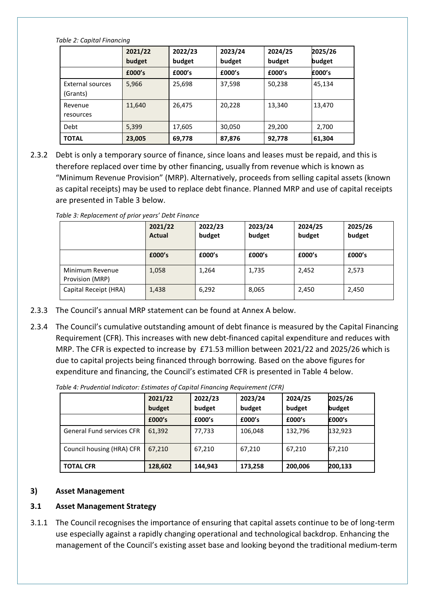| Table 2: Capital Financing          |                   |                   |                   |                   |                   |  |  |
|-------------------------------------|-------------------|-------------------|-------------------|-------------------|-------------------|--|--|
|                                     | 2021/22<br>budget | 2022/23<br>budget | 2023/24<br>budget | 2024/25<br>budget | 2025/26<br>budget |  |  |
|                                     | £000's            | £000's            | £000's            | £000's            | £000's            |  |  |
| <b>External sources</b><br>(Grants) | 5,966             | 25,698            | 37,598            | 50,238            | 45,134            |  |  |
| Revenue<br>resources                | 11.640            | 26.475            | 20,228            | 13,340            | 13,470            |  |  |
| Debt                                | 5,399             | 17,605            | 30,050            | 29,200            | 2,700             |  |  |
| <b>TOTAL</b>                        | 23,005            | 69,778            | 87,876            | 92,778            | 61,304            |  |  |

2.3.2 Debt is only a temporary source of finance, since loans and leases must be repaid, and this is therefore replaced over time by other financing, usually from revenue which is known as "Minimum Revenue Provision" (MRP). Alternatively, proceeds from selling capital assets (known as capital receipts) may be used to replace debt finance. Planned MRP and use of capital receipts are presented in Table 3 below.

|                                    | 2021/22<br><b>Actual</b> | 2022/23<br>budget | 2023/24<br>budget | 2024/25<br>budget | 2025/26<br>budget |
|------------------------------------|--------------------------|-------------------|-------------------|-------------------|-------------------|
|                                    | £000's                   | £000's            | £000's            | £000's            | £000's            |
| Minimum Revenue<br>Provision (MRP) | 1,058                    | 1,264             | 1,735             | 2,452             | 2,573             |
| Capital Receipt (HRA)              | 1,438                    | 6,292             | 8,065             | 2,450             | 2,450             |

*Table 3: Replacement of prior years' Debt Finance*

- 2.3.3 The Council's annual MRP statement can be found at Annex A below.
- 2.3.4 The Council's cumulative outstanding amount of debt finance is measured by the Capital Financing Requirement (CFR). This increases with new debt-financed capital expenditure and reduces with MRP. The CFR is expected to increase by £71.53 million between 2021/22 and 2025/26 which is due to capital projects being financed through borrowing. Based on the above figures for expenditure and financing, the Council's estimated CFR is presented in Table 4 below.

*Table 4: Prudential Indicator: Estimates of Capital Financing Requirement (CFR)*

|                                  | 2021/22<br>budget | 2022/23<br>budget | 2023/24<br>budget | 2024/25<br>budget | 2025/26<br>budget |
|----------------------------------|-------------------|-------------------|-------------------|-------------------|-------------------|
|                                  | £000's            | £000's            | £000's            | £000's            | £000's            |
| <b>General Fund services CFR</b> | 61,392            | 77,733            | 106,048           | 132,796           | 132,923           |
| Council housing (HRA) CFR        | 67,210            | 67,210            | 67,210            | 67,210            | 67,210            |
| <b>TOTAL CFR</b>                 | 128,602           | 144,943           | 173,258           | 200,006           | 200,133           |

#### **3) Asset Management**

#### **3.1 Asset Management Strategy**

3.1.1 The Council recognises the importance of ensuring that capital assets continue to be of long-term use especially against a rapidly changing operational and technological backdrop. Enhancing the management of the Council's existing asset base and looking beyond the traditional medium-term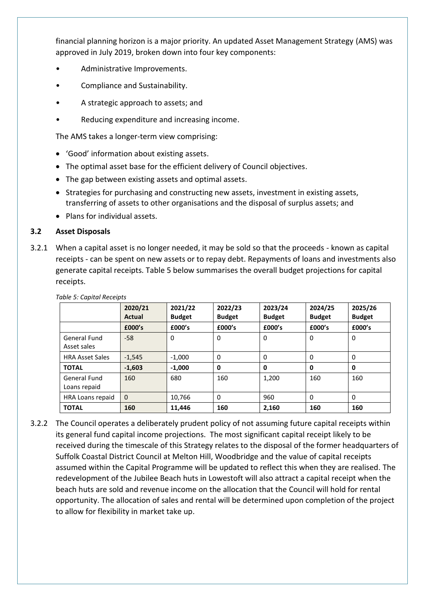financial planning horizon is a major priority. An updated Asset Management Strategy (AMS) was approved in July 2019, broken down into four key components:

- Administrative Improvements.
- Compliance and Sustainability.
- A strategic approach to assets; and
- Reducing expenditure and increasing income.

The AMS takes a longer-term view comprising:

- 'Good' information about existing assets.
- The optimal asset base for the efficient delivery of Council objectives.
- The gap between existing assets and optimal assets.
- Strategies for purchasing and constructing new assets, investment in existing assets, transferring of assets to other organisations and the disposal of surplus assets; and
- Plans for individual assets.

#### **3.2 Asset Disposals**

3.2.1 When a capital asset is no longer needed, it may be sold so that the proceeds - known as capital receipts - can be spent on new assets or to repay debt. Repayments of loans and investments also generate capital receipts. Table 5 below summarises the overall budget projections for capital receipts.

|                                    | 2020/21<br><b>Actual</b> | 2021/22<br><b>Budget</b> | 2022/23<br><b>Budget</b> | 2023/24<br><b>Budget</b> | 2024/25<br><b>Budget</b> | 2025/26<br><b>Budget</b> |
|------------------------------------|--------------------------|--------------------------|--------------------------|--------------------------|--------------------------|--------------------------|
|                                    | £000's                   | £000's                   | £000's                   | £000's                   | £000's                   | £000's                   |
| <b>General Fund</b><br>Asset sales | $-58$                    | 0                        | 0                        | 0                        | 0                        | 0                        |
| <b>HRA Asset Sales</b>             | $-1,545$                 | $-1.000$                 | 0                        | 0                        | $\Omega$                 | 0                        |
| <b>TOTAL</b>                       | $-1,603$                 | $-1.000$                 | 0                        | 0                        | 0                        | 0                        |
| General Fund<br>Loans repaid       | 160                      | 680                      | 160                      | 1,200                    | 160                      | 160                      |
| HRA Loans repaid                   | $\mathbf{0}$             | 10,766                   | $\mathbf{0}$             | 960                      | 0                        | 0                        |
| <b>TOTAL</b>                       | 160                      | 11,446                   | 160                      | 2,160                    | 160                      | 160                      |

#### *Table 5: Capital Receipts*

3.2.2 The Council operates a deliberately prudent policy of not assuming future capital receipts within its general fund capital income projections. The most significant capital receipt likely to be received during the timescale of this Strategy relates to the disposal of the former headquarters of Suffolk Coastal District Council at Melton Hill, Woodbridge and the value of capital receipts assumed within the Capital Programme will be updated to reflect this when they are realised. The redevelopment of the Jubilee Beach huts in Lowestoft will also attract a capital receipt when the beach huts are sold and revenue income on the allocation that the Council will hold for rental opportunity. The allocation of sales and rental will be determined upon completion of the project to allow for flexibility in market take up.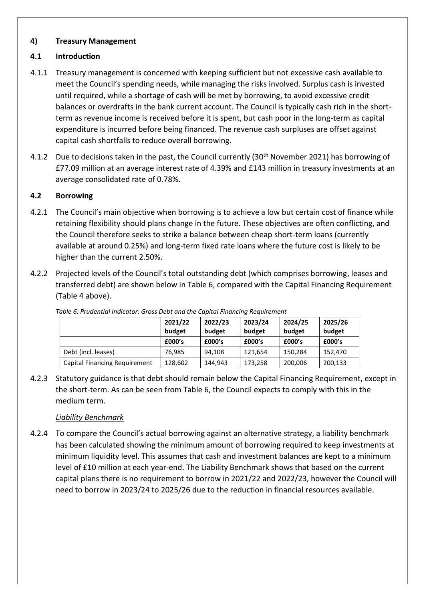#### **4) Treasury Management**

#### **4.1 Introduction**

- 4.1.1 Treasury management is concerned with keeping sufficient but not excessive cash available to meet the Council's spending needs, while managing the risks involved. Surplus cash is invested until required, while a shortage of cash will be met by borrowing, to avoid excessive credit balances or overdrafts in the bank current account. The Council is typically cash rich in the shortterm as revenue income is received before it is spent, but cash poor in the long-term as capital expenditure is incurred before being financed. The revenue cash surpluses are offset against capital cash shortfalls to reduce overall borrowing.
- 4.1.2 Due to decisions taken in the past, the Council currently (30<sup>th</sup> November 2021) has borrowing of £77.09 million at an average interest rate of 4.39% and £143 million in treasury investments at an average consolidated rate of 0.78%.

#### **4.2 Borrowing**

- 4.2.1 The Council's main objective when borrowing is to achieve a low but certain cost of finance while retaining flexibility should plans change in the future. These objectives are often conflicting, and the Council therefore seeks to strike a balance between cheap short-term loans (currently available at around 0.25%) and long-term fixed rate loans where the future cost is likely to be higher than the current 2.50%.
- 4.2.2 Projected levels of the Council's total outstanding debt (which comprises borrowing, leases and transferred debt) are shown below in Table 6, compared with the Capital Financing Requirement (Table 4 above).

|                                      | 2021/22<br>budget | 2022/23<br>budget | 2023/24<br>budget | 2024/25<br>budget | 2025/26<br>budget |
|--------------------------------------|-------------------|-------------------|-------------------|-------------------|-------------------|
|                                      | £000's            | £000's            | £000's            | £000's            | £000's            |
| Debt (incl. leases)                  | 76.985            | 94.108            | 121.654           | 150,284           | 152,470           |
| <b>Capital Financing Requirement</b> | 128,602           | 144,943           | 173,258           | 200,006           | 200,133           |

*Table 6: Prudential Indicator: Gross Debt and the Capital Financing Requirement*

4.2.3 Statutory guidance is that debt should remain below the Capital Financing Requirement, except in the short-term. As can be seen from Table 6, the Council expects to comply with this in the medium term.

#### *Liability Benchmark*

4.2.4 To compare the Council's actual borrowing against an alternative strategy, a liability benchmark has been calculated showing the minimum amount of borrowing required to keep investments at minimum liquidity level. This assumes that cash and investment balances are kept to a minimum level of £10 million at each year-end. The Liability Benchmark shows that based on the current capital plans there is no requirement to borrow in 2021/22 and 2022/23, however the Council will need to borrow in 2023/24 to 2025/26 due to the reduction in financial resources available.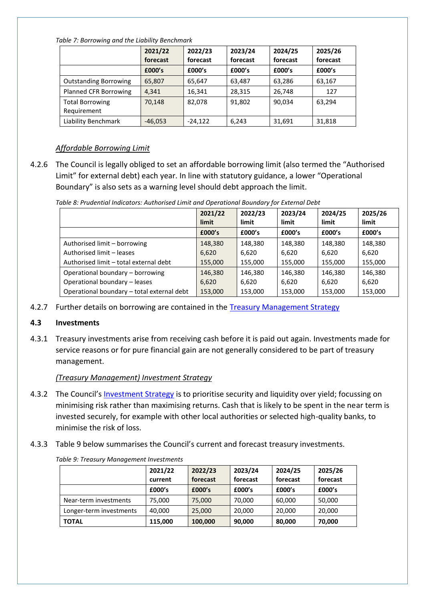*Table 7: Borrowing and the Liability Benchmark*

|                                       | 2021/22<br>forecast | 2022/23<br>forecast | 2023/24<br>forecast | 2024/25<br>forecast | 2025/26<br>forecast |
|---------------------------------------|---------------------|---------------------|---------------------|---------------------|---------------------|
|                                       | £000's              | £000's              | £000's              | £000's              | £000's              |
| <b>Outstanding Borrowing</b>          | 65,807              | 65,647              | 63,487              | 63,286              | 63,167              |
| Planned CFR Borrowing                 | 4.341               | 16,341              | 28,315              | 26,748              | 127                 |
| <b>Total Borrowing</b><br>Requirement | 70,148              | 82,078              | 91,802              | 90,034              | 63.294              |
| Liability Benchmark                   | $-46,053$           | $-24,122$           | 6,243               | 31,691              | 31,818              |

#### *Affordable Borrowing Limit*

4.2.6 The Council is legally obliged to set an affordable borrowing limit (also termed the "Authorised Limit" for external debt) each year. In line with statutory guidance, a lower "Operational Boundary" is also sets as a warning level should debt approach the limit.

|                                            | 2021/22<br>limit | 2022/23<br>limit | 2023/24<br>limit | 2024/25<br>limit | 2025/26<br>limit |
|--------------------------------------------|------------------|------------------|------------------|------------------|------------------|
|                                            | £000's           | £000's           | £000's           | £000's           | £000's           |
| Authorised limit - borrowing               | 148,380          | 148,380          | 148,380          | 148,380          | 148.380          |
| Authorised limit - leases                  | 6,620            | 6,620            | 6.620            | 6,620            | 6,620            |
| Authorised limit - total external debt     | 155,000          | 155,000          | 155,000          | 155,000          | 155,000          |
| Operational boundary - borrowing           | 146,380          | 146,380          | 146,380          | 146,380          | 146.380          |
| Operational boundary - leases              | 6,620            | 6,620            | 6,620            | 6,620            | 6,620            |
| Operational boundary - total external debt | 153,000          | 153,000          | 153,000          | 153,000          | 153,000          |

*Table 8: Prudential Indicators: Authorised Limit and Operational Boundary for External Debt*

4.2.7 Further details on borrowing are contained in the **[Treasury Management Strategy](https://eastsuffolk.cmis.uk.com/EastSuffolk/Document.ashx?czJKcaeAi5tUFL1DTL2UE4zNRBcoShgo=enwSP0tTuJdi8J3u9j9jgwEmPtye8livo7t%2bA3%2bZCJZ5%2f09VT4ou%2fA%3d%3d&rUzwRPf%2bZ3zd4E7Ikn8Lyw%3d%3d=pwRE6AGJFLDNlh225F5QMaQWCtPHwdhUfCZ%2fLUQzgA2uL5jNRG4jdQ%3d%3d&mCTIbCubSFfXsDGW9IXnlg%3d%3d=hFflUdN3100%3d&kCx1AnS9%2fpWZQ40DXFvdEw%3d%3d=hFflUdN3100%3d&uJovDxwdjMPoYv%2bAJvYtyA%3d%3d=ctNJFf55vVA%3d&FgPlIEJYlotS%2bYGoBi5olA%3d%3d=NHdURQburHA%3d&d9Qjj0ag1Pd993jsyOJqFvmyB7X0CSQK=ctNJFf55vVA%3d&WGewmoAfeNR9xqBux0r1Q8Za60lavYmz=ctNJFf55vVA%3d&WGewmoAfeNQ16B2MHuCpMRKZMwaG1PaO=ctNJFf55vVA%3d)** 

#### **4.3 Investments**

4.3.1 Treasury investments arise from receiving cash before it is paid out again. Investments made for service reasons or for pure financial gain are not generally considered to be part of treasury management.

*(Treasury Management) Investment Strategy*

- 4.3.2 The Council's [Investment Strategy](https://eastsuffolk.cmis.uk.com/EastSuffolk/Document.ashx?czJKcaeAi5tUFL1DTL2UE4zNRBcoShgo=enwSP0tTuJdi8J3u9j9jgwEmPtye8livo7t%2bA3%2bZCJZ5%2f09VT4ou%2fA%3d%3d&rUzwRPf%2bZ3zd4E7Ikn8Lyw%3d%3d=pwRE6AGJFLDNlh225F5QMaQWCtPHwdhUfCZ%2fLUQzgA2uL5jNRG4jdQ%3d%3d&mCTIbCubSFfXsDGW9IXnlg%3d%3d=hFflUdN3100%3d&kCx1AnS9%2fpWZQ40DXFvdEw%3d%3d=hFflUdN3100%3d&uJovDxwdjMPoYv%2bAJvYtyA%3d%3d=ctNJFf55vVA%3d&FgPlIEJYlotS%2bYGoBi5olA%3d%3d=NHdURQburHA%3d&d9Qjj0ag1Pd993jsyOJqFvmyB7X0CSQK=ctNJFf55vVA%3d&WGewmoAfeNR9xqBux0r1Q8Za60lavYmz=ctNJFf55vVA%3d&WGewmoAfeNQ16B2MHuCpMRKZMwaG1PaO=ctNJFf55vVA%3d) is to prioritise security and liquidity over yield; focussing on minimising risk rather than maximising returns. Cash that is likely to be spent in the near term is invested securely, for example with other local authorities or selected high-quality banks, to minimise the risk of loss.
- 4.3.3 Table 9 below summarises the Council's current and forecast treasury investments.

|                         | 2021/22<br>current | 2022/23<br>forecast | 2023/24<br>forecast | 2024/25<br>forecast | 2025/26<br>forecast |
|-------------------------|--------------------|---------------------|---------------------|---------------------|---------------------|
|                         | £000's             | £000's              | £000's              | £000's              | £000's              |
| Near-term investments   | 75,000             | 75,000              | 70,000              | 60,000              | 50,000              |
| Longer-term investments | 40,000             | 25,000              | 20,000              | 20,000              | 20,000              |
| <b>TOTAL</b>            | 115,000            | 100,000             | 90,000              | 80,000              | 70,000              |

*Table 9: Treasury Management Investments*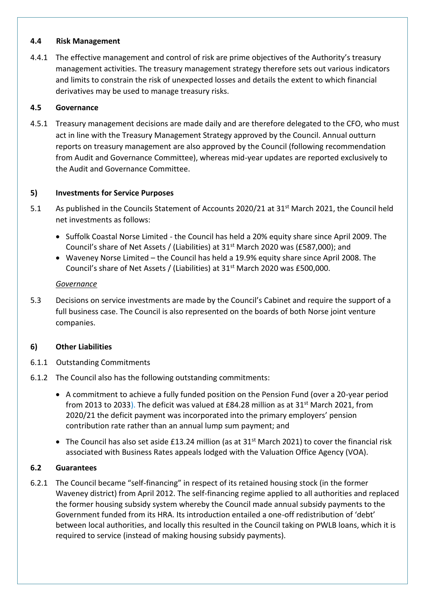#### **4.4 Risk Management**

4.4.1 The effective management and control of risk are prime objectives of the Authority's treasury management activities. The treasury management strategy therefore sets out various indicators and limits to constrain the risk of unexpected losses and details the extent to which financial derivatives may be used to manage treasury risks.

#### **4.5 Governance**

4.5.1 Treasury management decisions are made daily and are therefore delegated to the CFO, who must act in line with the Treasury Management Strategy approved by the Council. Annual outturn reports on treasury management are also approved by the Council (following recommendation from Audit and Governance Committee), whereas mid-year updates are reported exclusively to the Audit and Governance Committee.

#### **5) Investments for Service Purposes**

- 5.1 As published in the Councils Statement of Accounts 2020/21 at 31<sup>st</sup> March 2021, the Council held net investments as follows:
	- Suffolk Coastal Norse Limited the Council has held a 20% equity share since April 2009. The Council's share of Net Assets / (Liabilities) at  $31<sup>st</sup>$  March 2020 was (£587,000); and
	- Waveney Norse Limited the Council has held a 19.9% equity share since April 2008. The Council's share of Net Assets / (Liabilities) at 31<sup>st</sup> March 2020 was £500,000.

#### *Governance*

5.3 Decisions on service investments are made by the Council's Cabinet and require the support of a full business case. The Council is also represented on the boards of both Norse joint venture companies.

#### **6) Other Liabilities**

- 6.1.1 Outstanding Commitments
- 6.1.2 The Council also has the following outstanding commitments:
	- A commitment to achieve a fully funded position on the Pension Fund (over a 20-year period from 2013 to 2033). The deficit was valued at £84.28 million as at 31<sup>st</sup> March 2021, from 2020/21 the deficit payment was incorporated into the primary employers' pension contribution rate rather than an annual lump sum payment; and
	- The Council has also set aside £13.24 million (as at 31<sup>st</sup> March 2021) to cover the financial risk associated with Business Rates appeals lodged with the Valuation Office Agency (VOA).

#### **6.2 Guarantees**

6.2.1 The Council became "self-financing" in respect of its retained housing stock (in the former Waveney district) from April 2012. The self-financing regime applied to all authorities and replaced the former housing subsidy system whereby the Council made annual subsidy payments to the Government funded from its HRA. Its introduction entailed a one-off redistribution of 'debt' between local authorities, and locally this resulted in the Council taking on PWLB loans, which it is required to service (instead of making housing subsidy payments).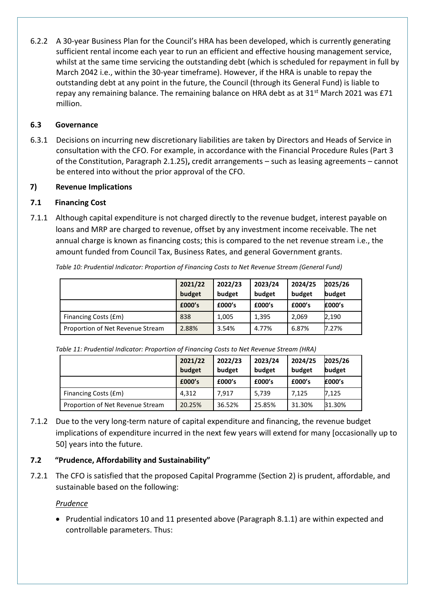6.2.2 A 30-year Business Plan for the Council's HRA has been developed, which is currently generating sufficient rental income each year to run an efficient and effective housing management service, whilst at the same time servicing the outstanding debt (which is scheduled for repayment in full by March 2042 i.e., within the 30-year timeframe). However, if the HRA is unable to repay the outstanding debt at any point in the future, the Council (through its General Fund) is liable to repay any remaining balance. The remaining balance on HRA debt as at 31<sup>st</sup> March 2021 was £71 million.

#### **6.3 Governance**

6.3.1 Decisions on incurring new discretionary liabilities are taken by Directors and Heads of Service in consultation with the CFO. For example, in accordance with the Financial Procedure Rules (Part 3 of the Constitution, Paragraph 2.1.25)**,** credit arrangements – such as leasing agreements – cannot be entered into without the prior approval of the CFO.

#### **7) Revenue Implications**

#### **7.1 Financing Cost**

7.1.1 Although capital expenditure is not charged directly to the revenue budget, interest payable on loans and MRP are charged to revenue, offset by any investment income receivable. The net annual charge is known as financing costs; this is compared to the net revenue stream i.e., the amount funded from Council Tax, Business Rates, and general Government grants.

|                                  | 2021/22<br>budget | 2022/23<br>budget | 2023/24<br>budget | 2024/25<br>budget | 2025/26<br>budget |
|----------------------------------|-------------------|-------------------|-------------------|-------------------|-------------------|
|                                  | £000's            | £000's            | £000's            | £000's            | £000's            |
| Financing Costs (£m)             | 838               | 1,005             | 1,395             | 2,069             | 2,190             |
| Proportion of Net Revenue Stream | 2.88%             | 3.54%             | 4.77%             | 6.87%             | 7.27%             |

*Table 10: Prudential Indicator: Proportion of Financing Costs to Net Revenue Stream (General Fund)*

*Table 11: Prudential Indicator: Proportion of Financing Costs to Net Revenue Stream (HRA)*

|                                  | 2021/22<br>budget | 2022/23<br>budget | 2023/24<br>budget | 2024/25<br>budget | 2025/26<br>budget |
|----------------------------------|-------------------|-------------------|-------------------|-------------------|-------------------|
|                                  | £000's            | £000's            | £000's            | £000's            | £000's            |
| Financing Costs (£m)             | 4.312             | 7.917             | 5,739             | 7.125             | 7,125             |
| Proportion of Net Revenue Stream | 20.25%            | 36.52%            | 25.85%            | 31.30%            | 31.30%            |

7.1.2 Due to the very long-term nature of capital expenditure and financing, the revenue budget implications of expenditure incurred in the next few years will extend for many [occasionally up to 50] years into the future.

#### **7.2 "Prudence, Affordability and Sustainability"**

7.2.1 The CFO is satisfied that the proposed Capital Programme (Section 2) is prudent, affordable, and sustainable based on the following:

#### *Prudence*

• Prudential indicators 10 and 11 presented above (Paragraph 8.1.1) are within expected and controllable parameters. Thus: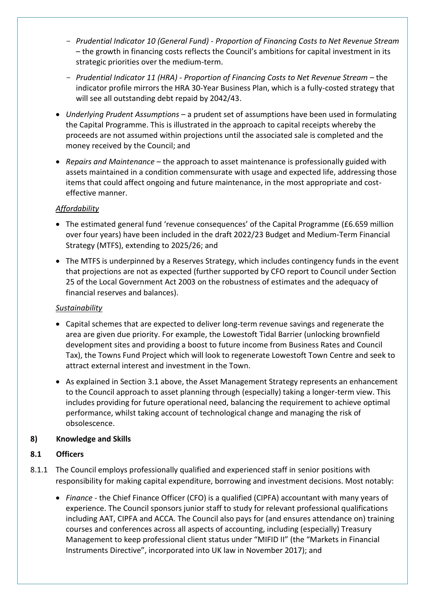- *Prudential Indicator 10 (General Fund) - Proportion of Financing Costs to Net Revenue Stream*  – the growth in financing costs reflects the Council's ambitions for capital investment in its strategic priorities over the medium-term.
- *Prudential Indicator 11 (HRA) - Proportion of Financing Costs to Net Revenue Stream –* the indicator profile mirrors the HRA 30-Year Business Plan, which is a fully-costed strategy that will see all outstanding debt repaid by 2042/43.
- *Underlying Prudent Assumptions* a prudent set of assumptions have been used in formulating the Capital Programme. This is illustrated in the approach to capital receipts whereby the proceeds are not assumed within projections until the associated sale is completed and the money received by the Council; and
- *Repairs and Maintenance* the approach to asset maintenance is professionally guided with assets maintained in a condition commensurate with usage and expected life, addressing those items that could affect ongoing and future maintenance, in the most appropriate and costeffective manner.

#### *Affordability*

- The estimated general fund 'revenue consequences' of the Capital Programme (£6.659 million over four years) have been included in the draft 2022/23 Budget and Medium-Term Financial Strategy (MTFS), extending to 2025/26; and
- The MTFS is underpinned by a Reserves Strategy, which includes contingency funds in the event that projections are not as expected (further supported by CFO report to Council under Section 25 of the Local Government Act 2003 on the robustness of estimates and the adequacy of financial reserves and balances).

#### *Sustainability*

- Capital schemes that are expected to deliver long-term revenue savings and regenerate the area are given due priority. For example, the Lowestoft Tidal Barrier (unlocking brownfield development sites and providing a boost to future income from Business Rates and Council Tax), the Towns Fund Project which will look to regenerate Lowestoft Town Centre and seek to attract external interest and investment in the Town.
- As explained in Section 3.1 above, the Asset Management Strategy represents an enhancement to the Council approach to asset planning through (especially) taking a longer-term view. This includes providing for future operational need, balancing the requirement to achieve optimal performance, whilst taking account of technological change and managing the risk of obsolescence.

#### **8) Knowledge and Skills**

#### **8.1 Officers**

- 8.1.1 The Council employs professionally qualified and experienced staff in senior positions with responsibility for making capital expenditure, borrowing and investment decisions. Most notably:
	- *Finance* the Chief Finance Officer (CFO) is a qualified (CIPFA) accountant with many years of experience. The Council sponsors junior staff to study for relevant professional qualifications including AAT, CIPFA and ACCA. The Council also pays for (and ensures attendance on) training courses and conferences across all aspects of accounting, including (especially) Treasury Management to keep professional client status under "MIFID II" (the "Markets in Financial Instruments Directive", incorporated into UK law in November 2017); and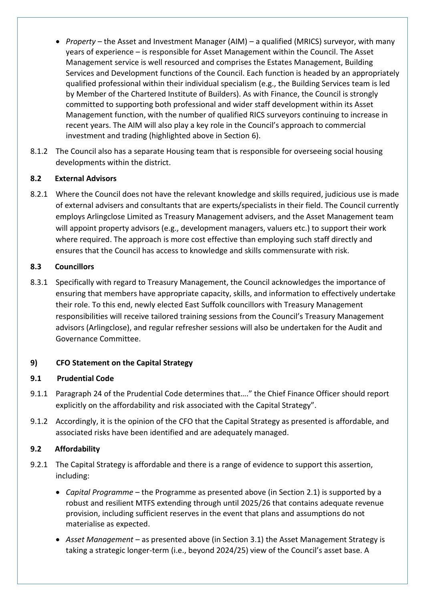- *Property* the Asset and Investment Manager (AIM) a qualified (MRICS) surveyor, with many years of experience – is responsible for Asset Management within the Council. The Asset Management service is well resourced and comprises the Estates Management, Building Services and Development functions of the Council. Each function is headed by an appropriately qualified professional within their individual specialism (e.g., the Building Services team is led by Member of the Chartered Institute of Builders). As with Finance, the Council is strongly committed to supporting both professional and wider staff development within its Asset Management function, with the number of qualified RICS surveyors continuing to increase in recent years. The AIM will also play a key role in the Council's approach to commercial investment and trading (highlighted above in Section 6).
- 8.1.2 The Council also has a separate Housing team that is responsible for overseeing social housing developments within the district.

#### **8.2 External Advisors**

8.2.1 Where the Council does not have the relevant knowledge and skills required, judicious use is made of external advisers and consultants that are experts/specialists in their field. The Council currently employs Arlingclose Limited as Treasury Management advisers, and the Asset Management team will appoint property advisors (e.g., development managers, valuers etc.) to support their work where required. The approach is more cost effective than employing such staff directly and ensures that the Council has access to knowledge and skills commensurate with risk.

#### **8.3 Councillors**

8.3.1 Specifically with regard to Treasury Management, the Council acknowledges the importance of ensuring that members have appropriate capacity, skills, and information to effectively undertake their role. To this end, newly elected East Suffolk councillors with Treasury Management responsibilities will receive tailored training sessions from the Council's Treasury Management advisors (Arlingclose), and regular refresher sessions will also be undertaken for the Audit and Governance Committee.

#### **9) CFO Statement on the Capital Strategy**

#### **9.1 Prudential Code**

- 9.1.1 Paragraph 24 of the Prudential Code determines that…." the Chief Finance Officer should report explicitly on the affordability and risk associated with the Capital Strategy".
- 9.1.2 Accordingly, it is the opinion of the CFO that the Capital Strategy as presented is affordable, and associated risks have been identified and are adequately managed.

#### **9.2 Affordability**

- 9.2.1 The Capital Strategy is affordable and there is a range of evidence to support this assertion, including:
	- *Capital Programme* the Programme as presented above (in Section 2.1) is supported by a robust and resilient MTFS extending through until 2025/26 that contains adequate revenue provision, including sufficient reserves in the event that plans and assumptions do not materialise as expected.
	- *Asset Management* as presented above (in Section 3.1) the Asset Management Strategy is taking a strategic longer-term (i.e., beyond 2024/25) view of the Council's asset base. A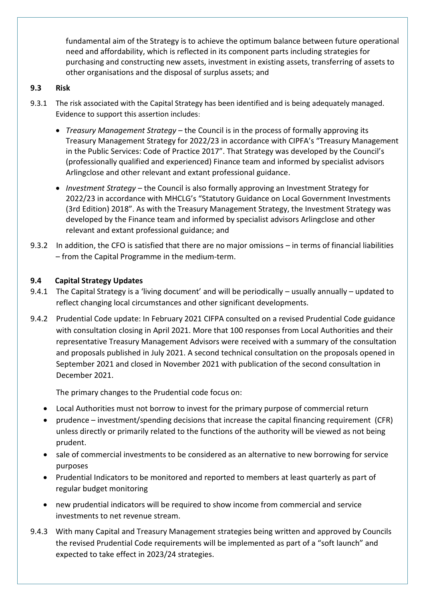fundamental aim of the Strategy is to achieve the optimum balance between future operational need and affordability, which is reflected in its component parts including strategies for purchasing and constructing new assets, investment in existing assets, transferring of assets to other organisations and the disposal of surplus assets; and

#### **9.3 Risk**

- 9.3.1 The risk associated with the Capital Strategy has been identified and is being adequately managed. Evidence to support this assertion includes:
	- *Treasury Management Strategy*  the Council is in the process of formally approving its Treasury Management Strategy for 2022/23 in accordance with CIPFA's "Treasury Management in the Public Services: Code of Practice 2017". That Strategy was developed by the Council's (professionally qualified and experienced) Finance team and informed by specialist advisors Arlingclose and other relevant and extant professional guidance.
	- *Investment Strategy* the Council is also formally approving an Investment Strategy for 2022/23 in accordance with MHCLG's "Statutory Guidance on Local Government Investments (3rd Edition) 2018". As with the Treasury Management Strategy, the Investment Strategy was developed by the Finance team and informed by specialist advisors Arlingclose and other relevant and extant professional guidance; and
- 9.3.2 In addition, the CFO is satisfied that there are no major omissions in terms of financial liabilities – from the Capital Programme in the medium-term.

#### **9.4 Capital Strategy Updates**

- 9.4.1 The Capital Strategy is a 'living document' and will be periodically usually annually updated to reflect changing local circumstances and other significant developments.
- 9.4.2 Prudential Code update: In February 2021 CIFPA consulted on a revised Prudential Code guidance with consultation closing in April 2021. More that 100 responses from Local Authorities and their representative Treasury Management Advisors were received with a summary of the consultation and proposals published in July 2021. A second technical consultation on the proposals opened in September 2021 and closed in November 2021 with publication of the second consultation in December 2021.

The primary changes to the Prudential code focus on:

- Local Authorities must not borrow to invest for the primary purpose of commercial return
- prudence investment/spending decisions that increase the capital financing requirement (CFR) unless directly or primarily related to the functions of the authority will be viewed as not being prudent.
- sale of commercial investments to be considered as an alternative to new borrowing for service purposes
- Prudential Indicators to be monitored and reported to members at least quarterly as part of regular budget monitoring
- new prudential indicators will be required to show income from commercial and service investments to net revenue stream.
- 9.4.3 With many Capital and Treasury Management strategies being written and approved by Councils the revised Prudential Code requirements will be implemented as part of a "soft launch" and expected to take effect in 2023/24 strategies.